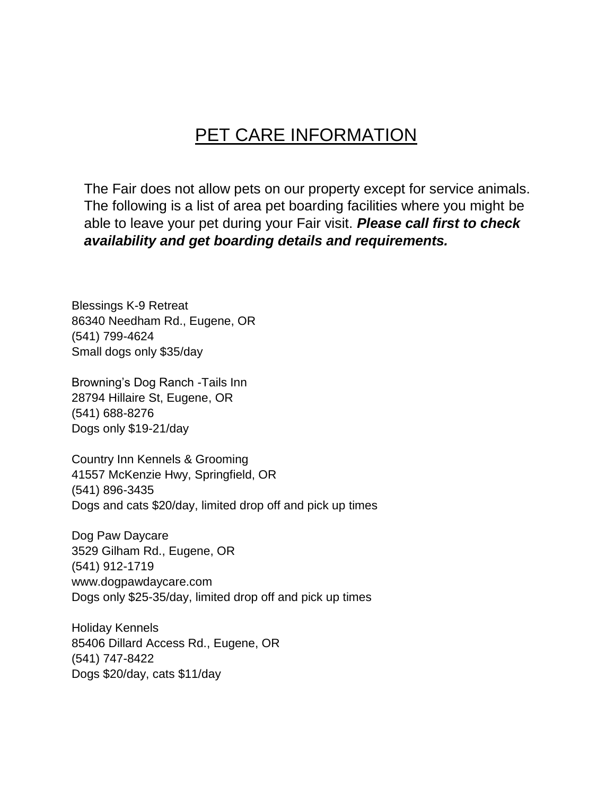## PET CARE INFORMATION

The Fair does not allow pets on our property except for service animals. The following is a list of area pet boarding facilities where you might be able to leave your pet during your Fair visit. *Please call first to check availability and get boarding details and requirements.* 

Blessings K-9 Retreat 86340 Needham Rd., Eugene, OR (541) 799-4624 Small dogs only \$35/day

Browning's Dog Ranch -Tails Inn 28794 Hillaire St, Eugene, OR (541) 688-8276 Dogs only \$19-21/day

Country Inn Kennels & Grooming 41557 McKenzie Hwy, Springfield, OR (541) 896-3435 Dogs and cats \$20/day, limited drop off and pick up times

Dog Paw Daycare 3529 Gilham Rd., Eugene, OR (541) 912-1719 www.dogpawdaycare.com Dogs only \$25-35/day, limited drop off and pick up times

Holiday Kennels 85406 Dillard Access Rd., Eugene, OR (541) 747-8422 Dogs \$20/day, cats \$11/day